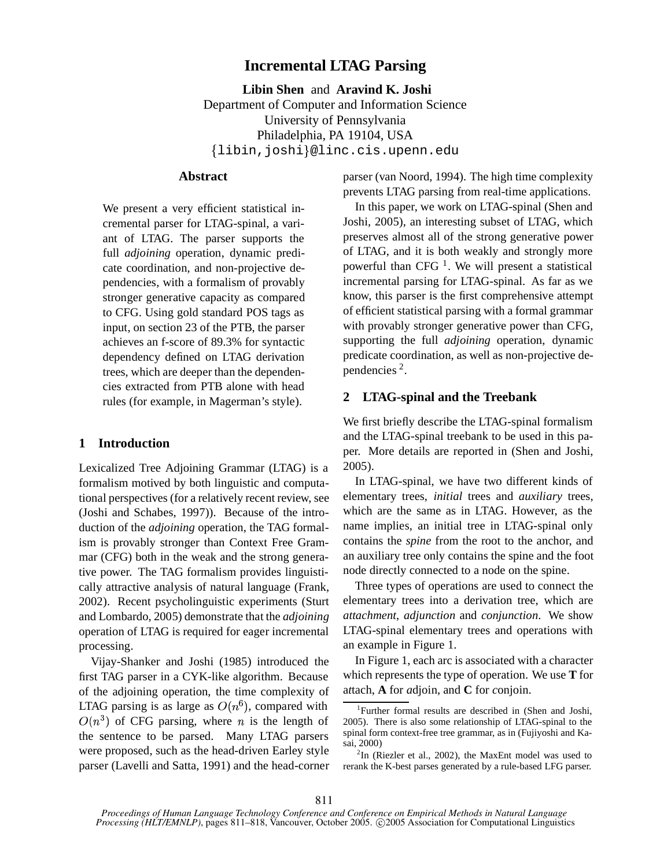# **Incremental LTAG Parsing**

**Libin Shen** and **Aravind K. Joshi** Department of Computer and Information Science University of Pennsylvania Philadelphia, PA 19104, USA  $\{{\tt libin}, {\tt joshi}\}$ @linc.cis.upenn.edu

# **Abstract**

We present a very efficient statistical incremental parser for LTAG-spinal, a variant of LTAG. The parser supports the full *adjoining* operation, dynamic predicate coordination, and non-projective dependencies, with a formalism of provably stronger generative capacity as compared to CFG. Using gold standard POS tags as input, on section 23 of the PTB, the parser achieves an f-score of 89.3% for syntactic dependency defined on LTAG derivation trees, which are deeper than the dependencies extracted from PTB alone with head rules (for example, in Magerman's style).

# **1 Introduction**

Lexicalized Tree Adjoining Grammar (LTAG) is a formalism motived by both linguistic and computational perspectives (for a relatively recent review, see (Joshi and Schabes, 1997)). Because of the introduction of the *adjoining* operation, the TAG formalism is provably stronger than Context Free Grammar (CFG) both in the weak and the strong generative power. The TAG formalism provides linguistically attractive analysis of natural language (Frank, 2002). Recent psycholinguistic experiments (Sturt and Lombardo, 2005) demonstrate that the *adjoining* operation of LTAG is required for eager incremental processing.

Vijay-Shanker and Joshi (1985) introduced the first TAG parser in a CYK-like algorithm. Because of the adjoining operation, the time complexity of LTAG parsing is as large as  $O(n^6)$ , compared with  $O(n^3)$  of CFG parsing, where *n* is the length of the sentence to be parsed. Many LTAG parsers were proposed, such as the head-driven Earley style parser (Lavelli and Satta, 1991) and the head-corner parser (van Noord, 1994). The high time complexity prevents LTAG parsing from real-time applications.

In this paper, we work on LTAG-spinal (Shen and Joshi, 2005), an interesting subset of LTAG, which preserves almost all of the strong generative power of LTAG, and it is both weakly and strongly more powerful than CFG  $<sup>1</sup>$ . We will present a statistical</sup> incremental parsing for LTAG-spinal. As far as we know, this parser is the first comprehensive attempt of efficient statistical parsing with a formal grammar with provably stronger generative power than CFG, supporting the full *adjoining* operation, dynamic predicate coordination, as well as non-projective dependencies 2 .

# **2 LTAG-spinal and the Treebank**

We first briefly describe the LTAG-spinal formalism and the LTAG-spinal treebank to be used in this paper. More details are reported in (Shen and Joshi, 2005).

In LTAG-spinal, we have two different kinds of elementary trees, *initial* trees and *auxiliary* trees, which are the same as in LTAG. However, as the name implies, an initial tree in LTAG-spinal only contains the *spine* from the root to the anchor, and an auxiliary tree only contains the spine and the foot node directly connected to a node on the spine.

Three types of operations are used to connect the elementary trees into a derivation tree, which are *attachment*, *adjunction* and *conjunction*. We show LTAG-spinal elementary trees and operations with an example in Figure 1.

In Figure 1, each arc is associated with a character which represents the type of operation. We use **T** for a*t*tach, **A** for *a*djoin, and **C** for *c*onjoin.

<sup>&</sup>lt;sup>1</sup>Further formal results are described in (Shen and Joshi, 2005). There is also some relationship of LTAG-spinal to the spinal form context-free tree grammar, as in (Fujiyoshi and Kasai, 2000)

 ${}^{2}$ In (Riezler et al., 2002), the MaxEnt model was used to rerank the K-best parses generated by a rule-based LFG parser.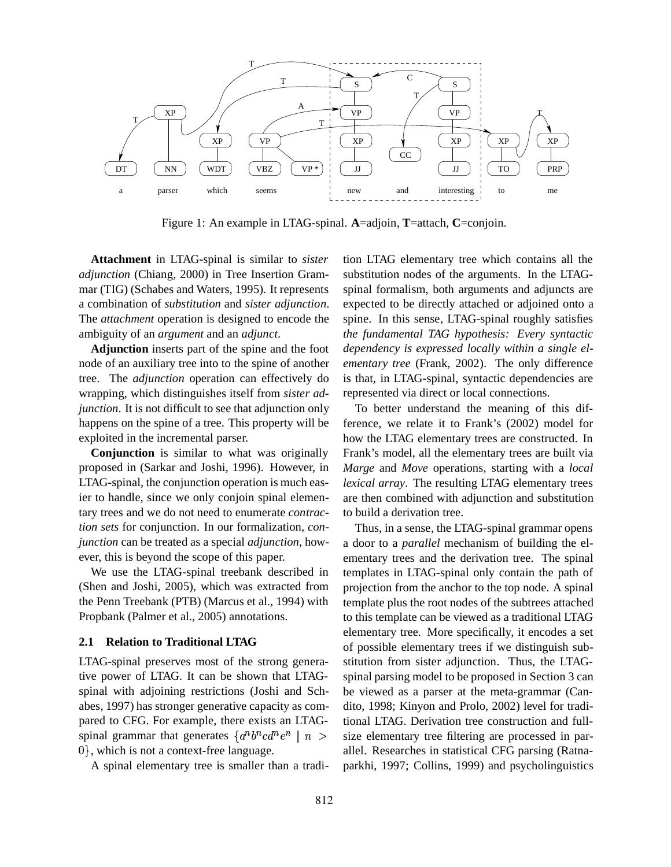

Figure 1: An example in LTAG-spinal. **A**=adjoin, **T**=attach, **C**=conjoin.

**Attachment** in LTAG-spinal is similar to *sister adjunction* (Chiang, 2000) in Tree Insertion Grammar (TIG) (Schabes and Waters, 1995). It represents a combination of *substitution* and *sister adjunction*. The *attachment* operation is designed to encode the ambiguity of an *argument* and an *adjunct*.

**Adjunction** inserts part of the spine and the foot node of an auxiliary tree into to the spine of another tree. The *adjunction* operation can effectively do wrapping, which distinguishes itself from *sister adjunction*. It is not difficult to see that adjunction only happens on the spine of a tree. This property will be exploited in the incremental parser.

**Conjunction** is similar to what was originally proposed in (Sarkar and Joshi, 1996). However, in LTAG-spinal, the conjunction operation is much easier to handle, since we only conjoin spinal elementary trees and we do not need to enumerate *contraction sets* for conjunction. In our formalization, *conjunction* can be treated as a special *adjunction*, however, this is beyond the scope of this paper.

We use the LTAG-spinal treebank described in (Shen and Joshi, 2005), which was extracted from the Penn Treebank (PTB) (Marcus et al., 1994) with Propbank (Palmer et al., 2005) annotations.

#### **2.1 Relation to Traditional LTAG**

LTAG-spinal preserves most of the strong generative power of LTAG. It can be shown that LTAGspinal with adjoining restrictions (Joshi and Schabes, 1997) has stronger generative capacity as compared to CFG. For example, there exists an LTAGspinal grammar that generates  $\{a^n b^n c d^n e^n \mid n >$  size elements  $\{0\}$ , which is not a context-free language.

A spinal elementary tree is smaller than a tradi-

tion LTAG elementary tree which contains all the substitution nodes of the arguments. In the LTAGspinal formalism, both arguments and adjuncts are expected to be directly attached or adjoined onto a spine. In this sense, LTAG-spinal roughly satisfies *the fundamental TAG hypothesis: Every syntactic dependency is expressed locally within a single elementary tree* (Frank, 2002). The only difference is that, in LTAG-spinal, syntactic dependencies are represented via direct or local connections.

To better understand the meaning of this difference, we relate it to Frank's (2002) model for how the LTAG elementary trees are constructed. In Frank's model, all the elementary trees are built via *Marge* and *Move* operations, starting with a *local lexical array*. The resulting LTAG elementary trees are then combined with adjunction and substitution to build a derivation tree.

Thus, in a sense, the LTAG-spinal grammar opens a door to a *parallel* mechanism of building the elementary trees and the derivation tree. The spinal templates in LTAG-spinal only contain the path of projection from the anchor to the top node. A spinal template plus the root nodes of the subtrees attached to this template can be viewed as a traditional LTAG elementary tree. More specifically, it encodes a set of possible elementary trees if we distinguish substitution from sister adjunction. Thus, the LTAGspinal parsing model to be proposed in Section 3 can be viewed as a parser at the meta-grammar (Candito, 1998; Kinyon and Prolo, 2002) level for traditional LTAG. Derivation tree construction and fullsize elementary tree filtering are processed in parallel. Researches in statistical CFG parsing (Ratnaparkhi, 1997; Collins, 1999) and psycholinguistics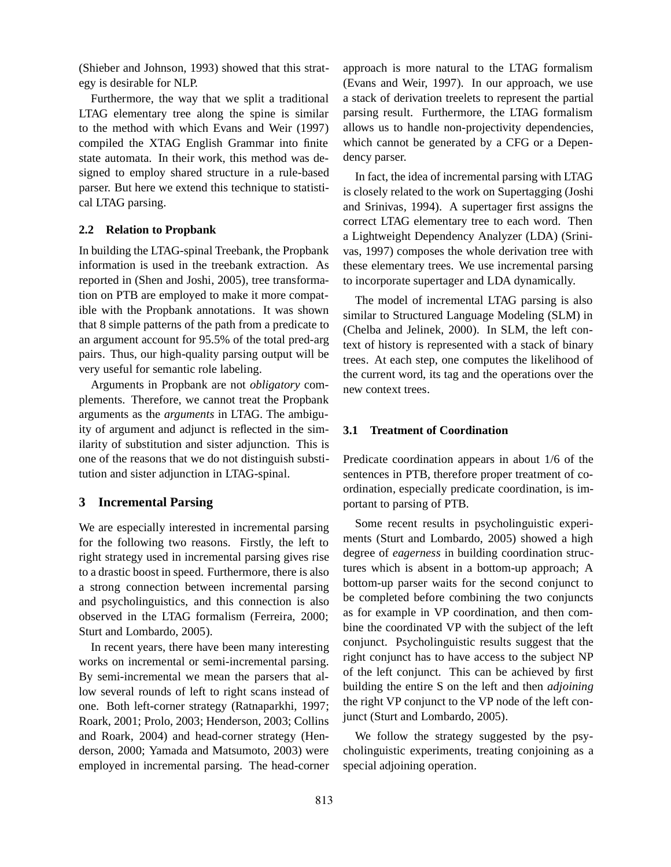(Shieber and Johnson, 1993) showed that this strategy is desirable for NLP.

Furthermore, the way that we split a traditional LTAG elementary tree along the spine is similar to the method with which Evans and Weir (1997) compiled the XTAG English Grammar into finite state automata. In their work, this method was designed to employ shared structure in a rule-based parser. But here we extend this technique to statistical LTAG parsing.

#### **2.2 Relation to Propbank**

In building the LTAG-spinal Treebank, the Propbank information is used in the treebank extraction. As reported in (Shen and Joshi, 2005), tree transformation on PTB are employed to make it more compatible with the Propbank annotations. It was shown that 8 simple patterns of the path from a predicate to an argument account for 95.5% of the total pred-arg pairs. Thus, our high-quality parsing output will be very useful for semantic role labeling.

Arguments in Propbank are not *obligatory* complements. Therefore, we cannot treat the Propbank arguments as the *arguments* in LTAG. The ambiguity of argument and adjunct is reflected in the similarity of substitution and sister adjunction. This is one of the reasons that we do not distinguish substitution and sister adjunction in LTAG-spinal.

### **3 Incremental Parsing**

We are especially interested in incremental parsing for the following two reasons. Firstly, the left to right strategy used in incremental parsing gives rise to a drastic boost in speed. Furthermore, there is also a strong connection between incremental parsing and psycholinguistics, and this connection is also observed in the LTAG formalism (Ferreira, 2000; Sturt and Lombardo, 2005).

In recent years, there have been many interesting works on incremental or semi-incremental parsing. By semi-incremental we mean the parsers that allow several rounds of left to right scans instead of one. Both left-corner strategy (Ratnaparkhi, 1997; Roark, 2001; Prolo, 2003; Henderson, 2003; Collins and Roark, 2004) and head-corner strategy (Henderson, 2000; Yamada and Matsumoto, 2003) were employed in incremental parsing. The head-corner approach is more natural to the LTAG formalism (Evans and Weir, 1997). In our approach, we use a stack of derivation treelets to represent the partial parsing result. Furthermore, the LTAG formalism allows us to handle non-projectivity dependencies, which cannot be generated by a CFG or a Dependency parser.

In fact, the idea of incremental parsing with LTAG is closely related to the work on Supertagging (Joshi and Srinivas, 1994). A supertager first assigns the correct LTAG elementary tree to each word. Then a Lightweight Dependency Analyzer (LDA) (Srinivas, 1997) composes the whole derivation tree with these elementary trees. We use incremental parsing to incorporate supertager and LDA dynamically.

The model of incremental LTAG parsing is also similar to Structured Language Modeling (SLM) in (Chelba and Jelinek, 2000). In SLM, the left context of history is represented with a stack of binary trees. At each step, one computes the likelihood of the current word, its tag and the operations over the new context trees.

#### **3.1 Treatment of Coordination**

Predicate coordination appears in about 1/6 of the sentences in PTB, therefore proper treatment of coordination, especially predicate coordination, is important to parsing of PTB.

Some recent results in psycholinguistic experiments (Sturt and Lombardo, 2005) showed a high degree of *eagerness* in building coordination structures which is absent in a bottom-up approach; A bottom-up parser waits for the second conjunct to be completed before combining the two conjuncts as for example in VP coordination, and then combine the coordinated VP with the subject of the left conjunct. Psycholinguistic results suggest that the right conjunct has to have access to the subject NP of the left conjunct. This can be achieved by first building the entire S on the left and then *adjoining* the right VP conjunct to the VP node of the left conjunct (Sturt and Lombardo, 2005).

We follow the strategy suggested by the psycholinguistic experiments, treating conjoining as a special adjoining operation.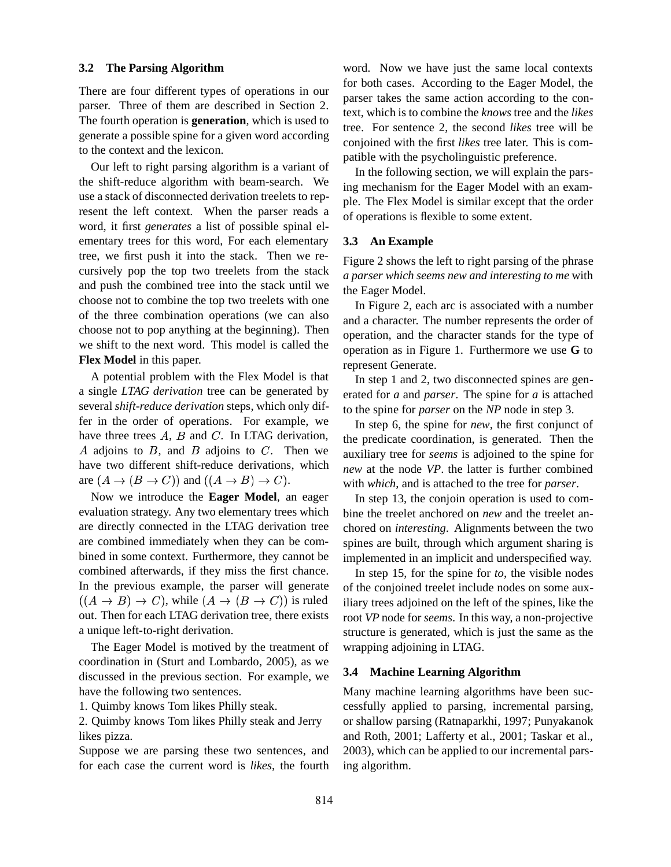#### **3.2 The Parsing Algorithm**

There are four different types of operations in our parser. Three of them are described in Section 2. The fourth operation is **generation**, which is used to generate a possible spine for a given word according to the context and the lexicon.

Our left to right parsing algorithm is a variant of the shift-reduce algorithm with beam-search. We use a stack of disconnected derivation treelets to represent the left context. When the parser reads a word, it first *generates* a list of possible spinal elementary trees for this word, For each elementary tree, we first push it into the stack. Then we recursively pop the top two treelets from the stack and push the combined tree into the stack until we choose not to combine the top two treelets with one of the three combination operations (we can also choose not to pop anything at the beginning). Then we shift to the next word. This model is called the **Flex Model** in this paper.

A potential problem with the Flex Model is that a single *LTAG derivation* tree can be generated by several *shift-reduce derivation* steps, which only differ in the order of operations. For example, we have three trees  $A$ ,  $B$  and  $C$ . In LTAG derivation, A adjoins to  $B$ , and  $B$  adjoins to  $C$ . Then we have two different shift-reduce derivations, which are  $(A \to (B \to C))$  and  $((A \to B) \to C)$ .

Now we introduce the **Eager Model**, an eager evaluation strategy. Any two elementary trees which are directly connected in the LTAG derivation tree are combined immediately when they can be combined in some context. Furthermore, they cannot be combined afterwards, if they miss the first chance. In the previous example, the parser will generate  $((A \rightarrow B) \rightarrow C)$ , while  $(A \rightarrow (B \rightarrow C))$  is ruled out. Then for each LTAG derivation tree, there exists a unique left-to-right derivation.

The Eager Model is motived by the treatment of coordination in (Sturt and Lombardo, 2005), as we discussed in the previous section. For example, we have the following two sentences.

1. Quimby knows Tom likes Philly steak.

2. Quimby knows Tom likes Philly steak and Jerry likes pizza.

Suppose we are parsing these two sentences, and for each case the current word is *likes*, the fourth word. Now we have just the same local contexts for both cases. According to the Eager Model, the parser takes the same action according to the context, which is to combine the *knows* tree and the *likes* tree. For sentence 2, the second *likes* tree will be conjoined with the first *likes* tree later. This is compatible with the psycholinguistic preference.

In the following section, we will explain the parsing mechanism for the Eager Model with an example. The Flex Model is similar except that the order of operations is flexible to some extent.

#### **3.3 An Example**

Figure 2 shows the left to right parsing of the phrase *a parser which seems new and interesting to me* with the Eager Model.

In Figure 2, each arc is associated with a number and a character. The number represents the order of operation, and the character stands for the type of operation as in Figure 1. Furthermore we use **G** to represent Generate.

In step 1 and 2, two disconnected spines are generated for *a* and *parser*. The spine for *a* is attached to the spine for *parser* on the *NP* node in step 3.

In step 6, the spine for *new*, the first conjunct of the predicate coordination, is generated. Then the auxiliary tree for *seems* is adjoined to the spine for *new* at the node *VP*. the latter is further combined with *which*, and is attached to the tree for *parser*.

In step 13, the conjoin operation is used to combine the treelet anchored on *new* and the treelet anchored on *interesting*. Alignments between the two spines are built, through which argument sharing is implemented in an implicit and underspecified way.

In step 15, for the spine for *to*, the visible nodes of the conjoined treelet include nodes on some auxiliary trees adjoined on the left of the spines, like the root *VP* node for *seems*. In this way, a non-projective structure is generated, which is just the same as the wrapping adjoining in LTAG.

#### **3.4 Machine Learning Algorithm**

Many machine learning algorithms have been successfully applied to parsing, incremental parsing, or shallow parsing (Ratnaparkhi, 1997; Punyakanok and Roth, 2001; Lafferty et al., 2001; Taskar et al., 2003), which can be applied to our incremental parsing algorithm.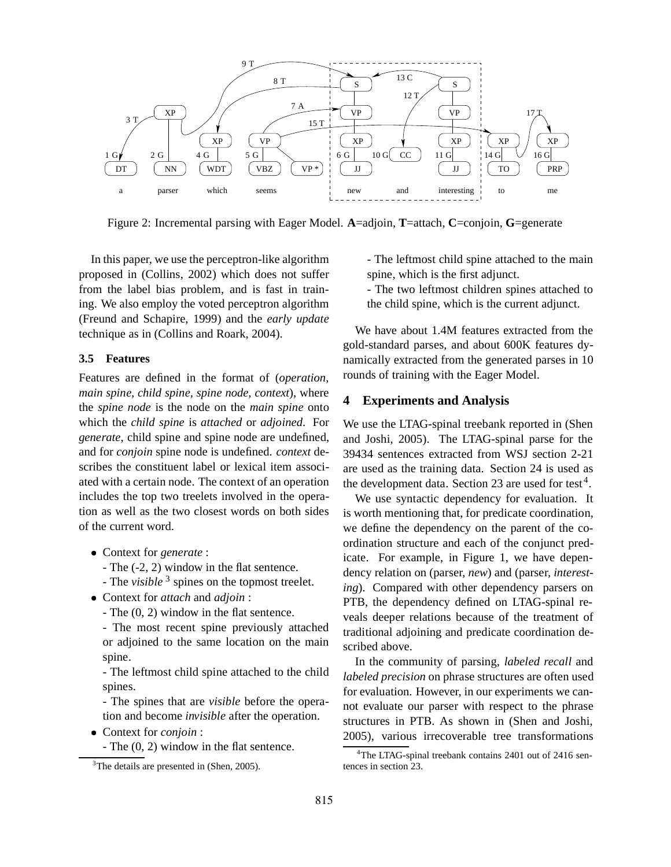

Figure 2: Incremental parsing with Eager Model. **A**=adjoin, **T**=attach, **C**=conjoin, **G**=generate

In this paper, we use the perceptron-like algorithm proposed in (Collins, 2002) which does not suffer from the label bias problem, and is fast in training. We also employ the voted perceptron algorithm (Freund and Schapire, 1999) and the *early update* technique as in (Collins and Roark, 2004).

### **3.5 Features**

Features are defined in the format of (*operation, main spine, child spine, spine node, context*), where the *spine node* is the node on the *main spine* onto which the *child spine* is *attached* or *adjoined*. For *generate*, child spine and spine node are undefined, and for *conjoin* spine node is undefined. *context* describes the constituent label or lexical item associated with a certain node. The context of an operation includes the top two treelets involved in the operation as well as the two closest words on both sides of the current word.

- <sup>9</sup> Context for *generate* :
	- The (-2, 2) window in the flat sentence.
	- The *visible* <sup>3</sup> spines on the topmost treelet.
- <sup>9</sup> Context for *attach* and *adjoin* :
	- The (0, 2) window in the flat sentence.

- The most recent spine previously attached or adjoined to the same location on the main spine.

- The leftmost child spine attached to the child spines.

- The spines that are *visible* before the operation and become *invisible* after the operation.

- <sup>9</sup> Context for *conjoin* :
	- The (0, 2) window in the flat sentence.

- The leftmost child spine attached to the main spine, which is the first adjunct.

- The two leftmost children spines attached to the child spine, which is the current adjunct.

We have about 1.4M features extracted from the gold-standard parses, and about 600K features dynamically extracted from the generated parses in 10 rounds of training with the Eager Model.

# **4 Experiments and Analysis**

We use the LTAG-spinal treebank reported in (Shen and Joshi, 2005). The LTAG-spinal parse for the 39434 sentences extracted from WSJ section 2-21 are used as the training data. Section 24 is used as the development data. Section 23 are used for test<sup>4</sup>.

We use syntactic dependency for evaluation. It is worth mentioning that, for predicate coordination, we define the dependency on the parent of the coordination structure and each of the conjunct predicate. For example, in Figure 1, we have dependency relation on (parser, *new*) and (parser, *interesting*). Compared with other dependency parsers on PTB, the dependency defined on LTAG-spinal reveals deeper relations because of the treatment of traditional adjoining and predicate coordination described above.

In the community of parsing, *labeled recall* and *labeled precision* on phrase structures are often used for evaluation. However, in our experiments we cannot evaluate our parser with respect to the phrase structures in PTB. As shown in (Shen and Joshi, 2005), various irrecoverable tree transformations

 $3$ The details are presented in (Shen, 2005).

<sup>&</sup>lt;sup>4</sup>The LTAG-spinal treebank contains 2401 out of 2416 sentences in section 23.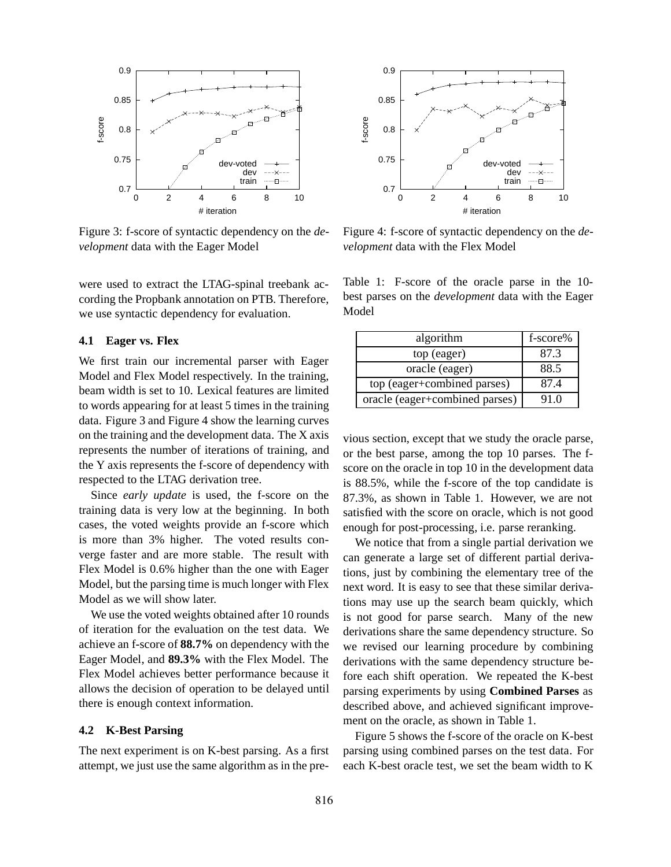

Figure 3: f-score of syntactic dependency on the *development* data with the Eager Model

were used to extract the LTAG-spinal treebank according the Propbank annotation on PTB. Therefore, we use syntactic dependency for evaluation.

#### **4.1 Eager vs. Flex**

We first train our incremental parser with Eager Model and Flex Model respectively. In the training, beam width is set to 10. Lexical features are limited to words appearing for at least 5 times in the training data. Figure 3 and Figure 4 show the learning curves on the training and the development data. The X axis represents the number of iterations of training, and the Y axis represents the f-score of dependency with respected to the LTAG derivation tree.

Since *early update* is used, the f-score on the training data is very low at the beginning. In both cases, the voted weights provide an f-score which is more than 3% higher. The voted results converge faster and are more stable. The result with Flex Model is 0.6% higher than the one with Eager Model, but the parsing time is much longer with Flex Model as we will show later.

We use the voted weights obtained after 10 rounds of iteration for the evaluation on the test data. We achieve an f-score of **88.7%** on dependency with the Eager Model, and **89.3%** with the Flex Model. The Flex Model achieves better performance because it allows the decision of operation to be delayed until there is enough context information.

#### **4.2 K-Best Parsing**

The next experiment is on K-best parsing. As a first attempt, we just use the same algorithm as in the pre-



Figure 4: f-score of syntactic dependency on the *development* data with the Flex Model

Table 1: F-score of the oracle parse in the 10 best parses on the *development* data with the Eager Model

| algorithm                      | f-score% |
|--------------------------------|----------|
| top (eager)                    | 87.3     |
| oracle (eager)                 | 88.5     |
| top (eager+combined parses)    | 87.4     |
| oracle (eager+combined parses) | 91.0     |

vious section, except that we study the oracle parse, or the best parse, among the top 10 parses. The fscore on the oracle in top 10 in the development data is 88.5%, while the f-score of the top candidate is 87.3%, as shown in Table 1. However, we are not satisfied with the score on oracle, which is not good enough for post-processing, i.e. parse reranking.

We notice that from a single partial derivation we can generate a large set of different partial derivations, just by combining the elementary tree of the next word. It is easy to see that these similar derivations may use up the search beam quickly, which is not good for parse search. Many of the new derivations share the same dependency structure. So we revised our learning procedure by combining derivations with the same dependency structure before each shift operation. We repeated the K-best parsing experiments by using **Combined Parses** as described above, and achieved significant improvement on the oracle, as shown in Table 1.

Figure 5 shows the f-score of the oracle on K-best parsing using combined parses on the test data. For each K-best oracle test, we set the beam width to K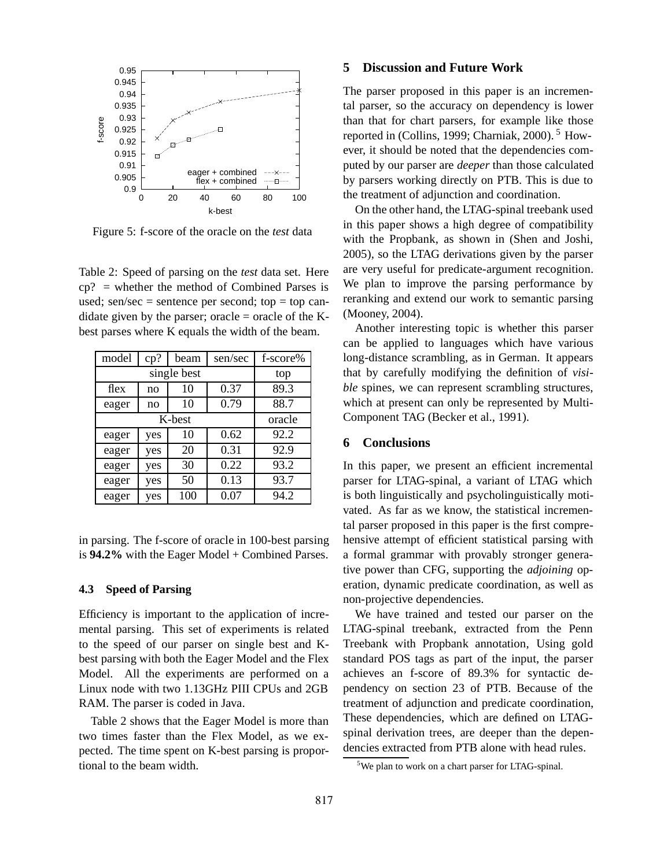

Figure 5: f-score of the oracle on the *test* data

Table 2: Speed of parsing on the *test* data set. Here cp? = whether the method of Combined Parses is used; sen/sec = sentence per second; top = top candidate given by the parser; oracle  $=$  oracle of the Kbest parses where K equals the width of the beam.

| model       | cp? | beam | sen/sec | f-score% |
|-------------|-----|------|---------|----------|
| single best |     |      |         | top      |
| flex        | no  | 10   | 0.37    | 89.3     |
| eager       | no  | 10   | 0.79    | 88.7     |
| K-best      |     |      |         | oracle   |
| eager       | yes | 10   | 0.62    | 92.2     |
| eager       | yes | 20   | 0.31    | 92.9     |
| eager       | yes | 30   | 0.22    | 93.2     |
| eager       | yes | 50   | 0.13    | 93.7     |
| eager       | yes | 100  | 0.07    | 94.2     |

in parsing. The f-score of oracle in 100-best parsing is **94.2%** with the Eager Model + Combined Parses.

#### **4.3 Speed of Parsing**

Efficiency is important to the application of incremental parsing. This set of experiments is related to the speed of our parser on single best and Kbest parsing with both the Eager Model and the Flex Model. All the experiments are performed on a Linux node with two 1.13GHz PIII CPUs and 2GB RAM. The parser is coded in Java.

Table 2 shows that the Eager Model is more than two times faster than the Flex Model, as we expected. The time spent on K-best parsing is proportional to the beam width.

### **5 Discussion and Future Work**

The parser proposed in this paper is an incremental parser, so the accuracy on dependency is lower than that for chart parsers, for example like those reported in (Collins, 1999; Charniak, 2000).  $5$  However, it should be noted that the dependencies computed by our parser are *deeper* than those calculated by parsers working directly on PTB. This is due to the treatment of adjunction and coordination.

On the other hand, the LTAG-spinal treebank used in this paper shows a high degree of compatibility with the Propbank, as shown in (Shen and Joshi, 2005), so the LTAG derivations given by the parser are very useful for predicate-argument recognition. We plan to improve the parsing performance by reranking and extend our work to semantic parsing (Mooney, 2004).

Another interesting topic is whether this parser can be applied to languages which have various long-distance scrambling, as in German. It appears that by carefully modifying the definition of *visible* spines, we can represent scrambling structures, which at present can only be represented by Multi-Component TAG (Becker et al., 1991).

### **6 Conclusions**

In this paper, we present an efficient incremental parser for LTAG-spinal, a variant of LTAG which is both linguistically and psycholinguistically motivated. As far as we know, the statistical incremental parser proposed in this paper is the first comprehensive attempt of efficient statistical parsing with a formal grammar with provably stronger generative power than CFG, supporting the *adjoining* operation, dynamic predicate coordination, as well as non-projective dependencies.

We have trained and tested our parser on the LTAG-spinal treebank, extracted from the Penn Treebank with Propbank annotation, Using gold standard POS tags as part of the input, the parser achieves an f-score of 89.3% for syntactic dependency on section 23 of PTB. Because of the treatment of adjunction and predicate coordination, These dependencies, which are defined on LTAGspinal derivation trees, are deeper than the dependencies extracted from PTB alone with head rules.

<sup>&</sup>lt;sup>5</sup>We plan to work on a chart parser for LTAG-spinal.